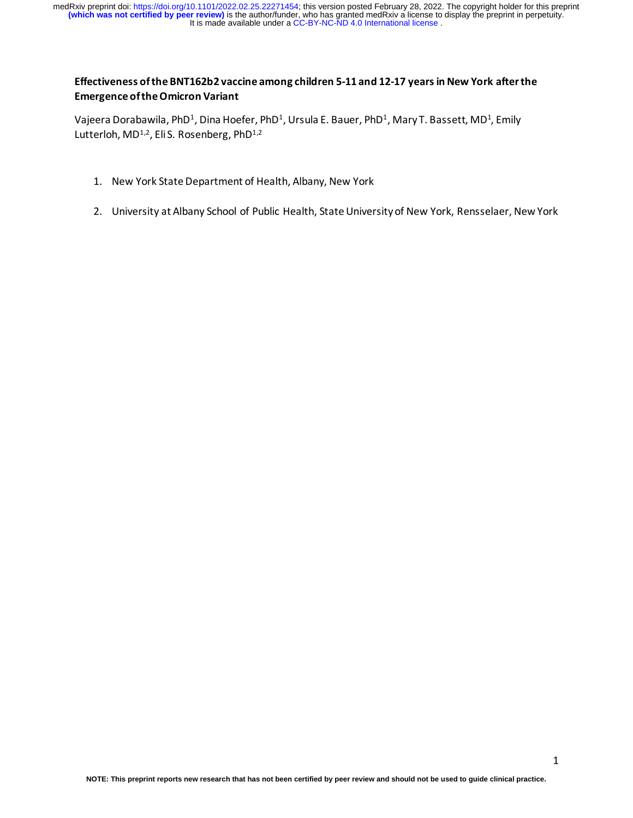It is made available under a [CC-BY-NC-ND 4.0 International license](http://creativecommons.org/licenses/by-nc-nd/4.0/) . medRxiv preprint doi: [https://doi.org/10.1101/2022.02.25.22271454;](https://doi.org/10.1101/2022.02.25.22271454) this version posted February 28, 2022. The copyright holder for this preprint<br>(which was not certified by peer review) is the author/funder, who has grante

# **Effectiveness of the BNT162b2 vaccine among children 5-11 and 12-17 years in New York after the Emergence of the Omicron Variant**

Vajeera Dorabawila, PhD<sup>1</sup>, Dina Hoefer, PhD<sup>1</sup>, Ursula E. Bauer, PhD<sup>1</sup>, Mary T. Bassett, MD<sup>1</sup>, Emily Lutterloh, MD<sup>1,2</sup>, Eli S. Rosenberg, PhD<sup>1,2</sup>

- 1. New York State Department of Health, Albany, New York
- 2. University at Albany School of Public Health, State University of New York, Rensselaer, New York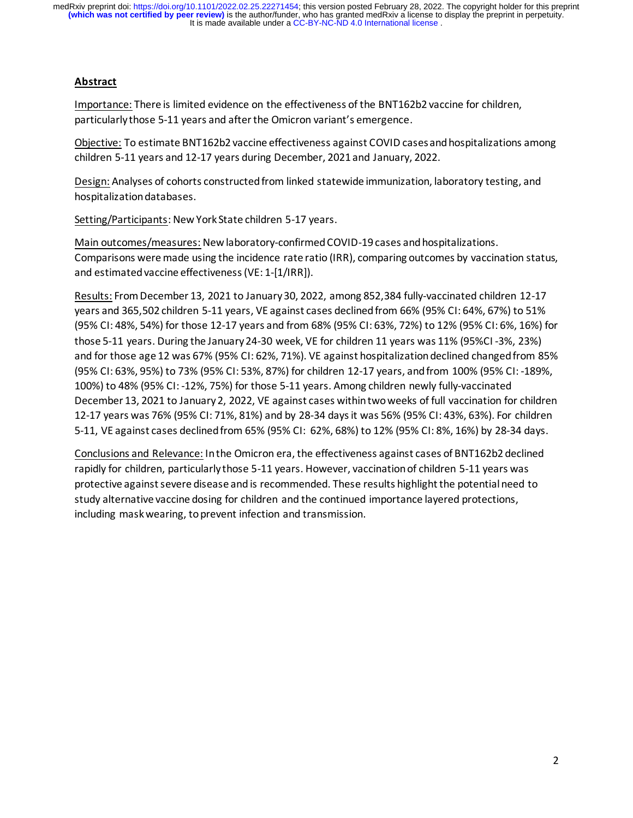It is made available under a [CC-BY-NC-ND 4.0 International license](http://creativecommons.org/licenses/by-nc-nd/4.0/) . **(which was not certified by peer review)** is the author/funder, who has granted medRxiv a license to display the preprint in perpetuity. medRxiv preprint doi: [https://doi.org/10.1101/2022.02.25.22271454;](https://doi.org/10.1101/2022.02.25.22271454) this version posted February 28, 2022. The copyright holder for this preprint

## **Abstract**

Importance: There is limited evidence on the effectiveness of the BNT162b2 vaccine for children, particularly those 5-11 years and after the Omicron variant's emergence.

Objective: To estimate BNT162b2 vaccine effectiveness against COVID cases and hospitalizations among children 5-11 years and 12-17 years during December, 2021 and January, 2022.

Design: Analyses of cohorts constructed from linked statewide immunization, laboratory testing, and hospitalization databases.

Setting/Participants: New York State children 5-17 years.

Main outcomes/measures: New laboratory-confirmed COVID-19 cases and hospitalizations. Comparisons were made using the incidence rate ratio (IRR), comparing outcomes by vaccination status, and estimated vaccine effectiveness (VE: 1-[1/IRR]).

Results: FromDecember 13, 2021 to January 30, 2022, among 852,384 fully-vaccinated children 12-17 years and 365,502 children 5-11 years, VE against cases declined from 66% (95% CI: 64%, 67%) to 51% (95% CI: 48%, 54%) for those 12-17 years and from 68% (95% CI: 63%, 72%) to 12% (95% CI: 6%, 16%) for those 5-11 years. During the January 24-30 week, VE for children 11 years was 11% (95%CI -3%, 23%) and for those age 12 was 67% (95% CI: 62%, 71%). VE against hospitalization declined changed from 85% (95% CI: 63%, 95%) to 73% (95% CI: 53%, 87%) for children 12-17 years, and from 100% (95% CI: -189%, 100%) to 48% (95% CI: -12%, 75%) for those 5-11 years. Among children newly fully-vaccinated December 13, 2021 to January 2, 2022, VE against cases within two weeks of full vaccination for children 12-17 years was 76% (95% CI: 71%, 81%) and by 28-34 days it was 56% (95% CI: 43%, 63%). For children 5-11, VE against cases declined from 65% (95% CI: 62%, 68%) to 12% (95% CI: 8%, 16%) by 28-34 days.

Conclusions and Relevance: Inthe Omicron era, the effectiveness against cases of BNT162b2 declined rapidly for children, particularly those 5-11 years. However, vaccination of children 5-11 years was protective against severe disease and is recommended. These results highlight the potential need to study alternative vaccine dosing for children and the continued importance layered protections, including mask wearing, to prevent infection and transmission.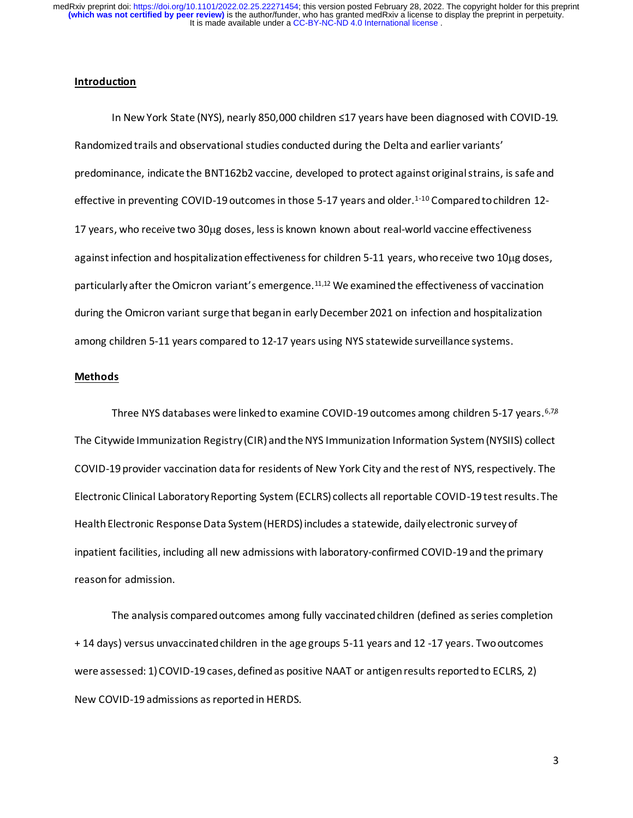It is made available under a [CC-BY-NC-ND 4.0 International license](http://creativecommons.org/licenses/by-nc-nd/4.0/) . medRxiv preprint doi: [https://doi.org/10.1101/2022.02.25.22271454;](https://doi.org/10.1101/2022.02.25.22271454) this version posted February 28, 2022. The copyright holder for this preprint<br>(which was not certified by peer review) is the author/funder, who has grante

#### **Introduction**

In New York State (NYS), nearly 850,000 children ≤17 years have been diagnosed with COVID-19. Randomized trails and observational studies conducted during the Delta and earlier variants' predominance, indicate the BNT162b2 vaccine, developed to protect against original strains, issafe and effective in preventing COVID-19 outcomes in those 5-17 years and older.<sup>1-10</sup> Compared to children 12-17 years, who receive two 30µg doses, less is known known about real-world vaccine effectiveness against infection and hospitalization effectiveness for children 5-11 years, who receive two 10ug doses, particularly after the Omicron variant's emergence.<sup>11,12</sup> We examined the effectiveness of vaccination during the Omicron variant surge that began in early December 2021 on infection and hospitalization among children 5-11 years compared to 12-17 years using NYS statewide surveillance systems.

#### **Methods**

Three NYS databases were linked to examine COVID-19 outcomes among children 5-17 years.<sup>6,78</sup> The Citywide Immunization Registry (CIR) and the NYS Immunization Information System (NYSIIS) collect COVID-19 provider vaccination data for residents of New York City and the rest of NYS, respectively. The Electronic Clinical Laboratory Reporting System (ECLRS) collects all reportable COVID-19 test results. The Health Electronic Response Data System (HERDS) includes a statewide, daily electronic survey of inpatient facilities, including all new admissions with laboratory-confirmed COVID-19 and the primary reason for admission.

The analysis compared outcomes among fully vaccinated children (defined as series completion + 14 days) versus unvaccinated children in the age groups 5-11 years and 12 -17 years. Two outcomes were assessed: 1) COVID-19 cases, defined as positive NAAT or antigen results reported to ECLRS, 2) New COVID-19 admissions as reported in HERDS.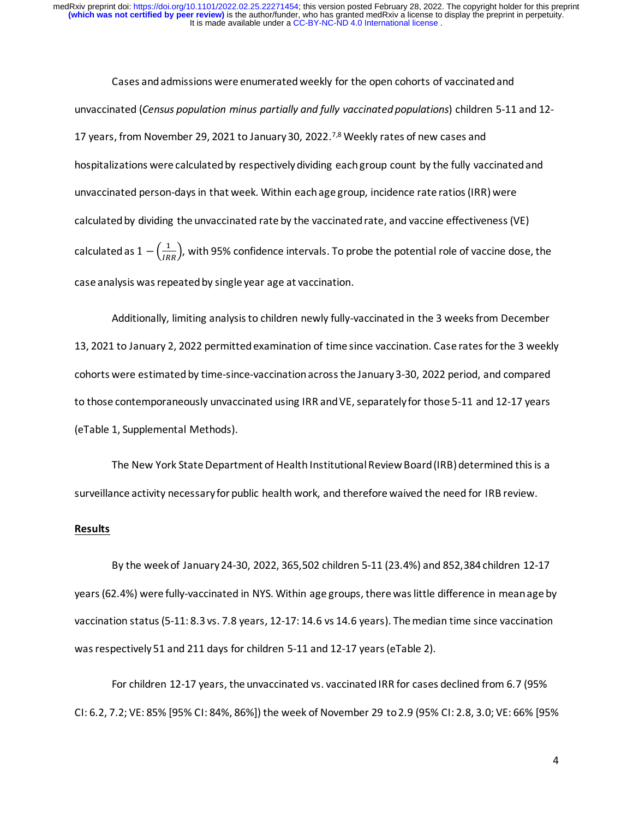Cases and admissions were enumeratedweekly for the open cohorts of vaccinated and unvaccinated (*Census population minus partially and fully vaccinated populations*) children 5-11 and 12- 17 years, from November 29, 2021 to January 30, 2022.<sup>7,8</sup> Weekly rates of new cases and hospitalizations were calculated by respectively dividing each group count by the fully vaccinated and unvaccinated person-days in that week. Within each age group, incidence rate ratios (IRR) were calculated by dividing the unvaccinated rate by the vaccinated rate, and vaccine effectiveness(VE) calculated as  $1 - \left(\frac{1}{IRR}\right)$ , with 95% confidence intervals. To probe the potential role of vaccine dose, the case analysis was repeated by single year age at vaccination.

Additionally, limiting analysis to children newly fully-vaccinated in the 3 weeks from December 13, 2021 to January 2, 2022 permitted examination of time since vaccination. Case rates for the 3 weekly cohorts were estimated by time-since-vaccinationacrossthe January 3-30, 2022 period, and compared to those contemporaneously unvaccinated using IRR and VE, separately for those 5-11 and 12-17 years (eTable 1, Supplemental Methods).

The New York State Department of Health Institutional Review Board (IRB) determined this is a surveillance activity necessary for public health work, and therefore waived the need for IRB review.

#### **Results**

By the week of January 24-30, 2022, 365,502 children 5-11 (23.4%) and 852,384 children 12-17 years (62.4%) were fully-vaccinated in NYS. Within age groups, there was little difference in mean age by vaccination status (5-11: 8.3 vs. 7.8 years, 12-17: 14.6 vs 14.6 years). The median time since vaccination was respectively 51 and 211 days for children 5-11 and 12-17 years(eTable 2).

For children 12-17 years, the unvaccinated vs. vaccinated IRR for cases declined from 6.7 (95% CI: 6.2, 7.2; VE: 85% [95% CI: 84%, 86%]) the week of November 29 to 2.9 (95% CI: 2.8, 3.0; VE: 66% [95%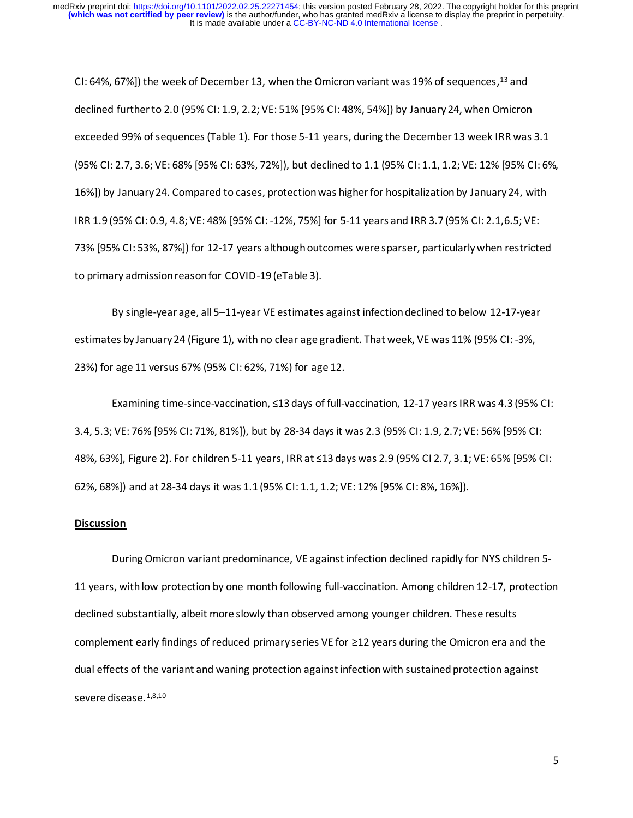CI: 64%, 67%]) the week of December 13, when the Omicron variant was 19% of sequences,<sup>13</sup> and declined further to 2.0 (95% CI: 1.9, 2.2; VE: 51% [95% CI: 48%, 54%]) by January 24, when Omicron exceeded 99% of sequences(Table 1). For those 5-11 years, during the December 13 week IRR was 3.1 (95% CI: 2.7, 3.6; VE: 68% [95% CI: 63%, 72%]), but declined to 1.1 (95% CI: 1.1, 1.2; VE: 12% [95% CI: 6%, 16%]) by January 24. Compared to cases, protectionwas higherfor hospitalization by January 24, with IRR 1.9 (95% CI: 0.9, 4.8; VE: 48% [95% CI: -12%, 75%] for 5-11 years and IRR 3.7 (95% CI: 2.1,6.5; VE: 73% [95% CI: 53%, 87%]) for 12-17 years although outcomes were sparser, particularly when restricted to primary admission reason for COVID-19 (eTable 3).

By single-year age, all 5–11-year VE estimates against infection declined to below 12-17-year estimates by January 24 (Figure 1), with no clear age gradient. That week, VE was 11% (95% CI: -3%, 23%) for age 11 versus 67% (95% CI: 62%, 71%) for age 12.

Examining time-since-vaccination, ≤13 days of full-vaccination, 12-17 years IRR was 4.3 (95% CI: 3.4, 5.3; VE: 76% [95% CI: 71%, 81%]), but by 28-34 days it was 2.3 (95% CI: 1.9, 2.7; VE: 56% [95% CI: 48%, 63%], Figure 2). For children 5-11 years, IRR at ≤13 days was 2.9 (95% CI 2.7, 3.1; VE: 65% [95% CI: 62%, 68%]) and at 28-34 days it was 1.1 (95% CI: 1.1, 1.2; VE: 12% [95% CI: 8%, 16%]).

#### **Discussion**

During Omicron variant predominance, VE against infection declined rapidly for NYS children 5- 11 years, with low protection by one month following full-vaccination. Among children 12-17, protection declined substantially, albeit more slowly than observed among younger children. These results complement early findings of reduced primary series VE for ≥12 years during the Omicron era and the dual effects of the variant and waning protection against infection with sustained protection against severe disease.<sup>1,8,10</sup>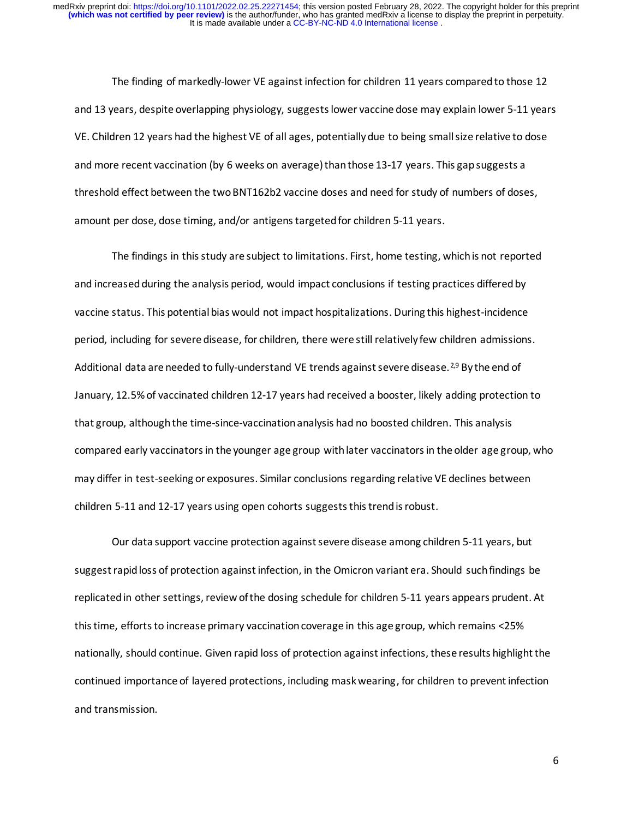The finding of markedly-lower VE against infection for children 11 years compared to those 12 and 13 years, despite overlapping physiology, suggests lower vaccine dose may explain lower 5-11 years VE. Children 12 years had the highest VE of all ages, potentially due to being small size relative to dose and more recent vaccination (by 6 weeks on average) than those 13-17 years. This gap suggests a threshold effect between the two BNT162b2 vaccine doses and need for study of numbers of doses, amount per dose, dose timing, and/or antigens targeted for children 5-11 years.

The findings in this study are subject to limitations. First, home testing, whichis not reported and increased during the analysis period, would impact conclusions if testing practices differedby vaccine status. This potential bias would not impact hospitalizations. During this highest-incidence period, including for severe disease, for children, there were still relatively few children admissions. Additional data are needed to fully-understand VE trends against severe disease.<sup>2,9</sup> By the end of January, 12.5% of vaccinated children 12-17 years had received a booster, likely adding protection to that group, although the time-since-vaccination analysis had no boosted children. This analysis compared early vaccinators in the younger age group withlater vaccinators in the older age group, who may differ in test-seeking or exposures. Similar conclusions regarding relative VE declines between children 5-11 and 12-17 years using open cohorts suggests this trend is robust.

Our data support vaccine protection against severe disease among children 5-11 years, but suggest rapid loss of protection against infection, in the Omicron variant era. Should such findings be replicated in other settings, review of the dosing schedule for children 5-11 years appears prudent. At this time, efforts to increase primary vaccination coverage in this age group, which remains <25% nationally, should continue. Given rapid loss of protection against infections, these results highlight the continued importance of layered protections, including mask wearing, for children to prevent infection and transmission.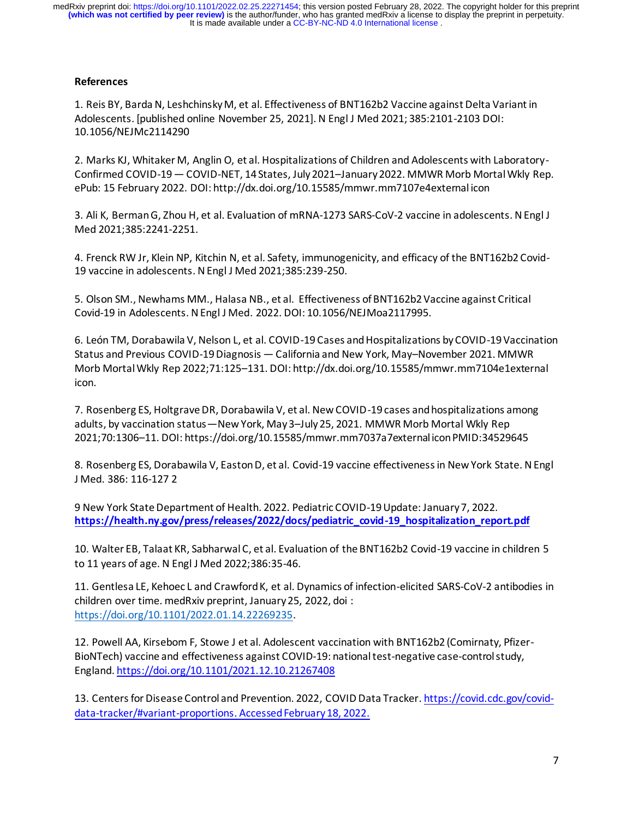It is made available under a [CC-BY-NC-ND 4.0 International license](http://creativecommons.org/licenses/by-nc-nd/4.0/) . **(which was not certified by peer review)** is the author/funder, who has granted medRxiv a license to display the preprint in perpetuity. medRxiv preprint doi: [https://doi.org/10.1101/2022.02.25.22271454;](https://doi.org/10.1101/2022.02.25.22271454) this version posted February 28, 2022. The copyright holder for this preprint

### **References**

1. Reis BY, Barda N, Leshchinsky M, et al. Effectiveness of BNT162b2 Vaccine against Delta Variant in Adolescents. [published online November 25, 2021]. N Engl J Med 2021; 385:2101-2103 DOI: 10.1056/NEJMc2114290

2. Marks KJ, Whitaker M, Anglin O, et al. Hospitalizations of Children and Adolescents with Laboratory-Confirmed COVID-19 — COVID-NET, 14 States, July 2021–January 2022. MMWR Morb Mortal Wkly Rep. ePub: 15 February 2022. DOI: http://dx.doi.org/10.15585/mmwr.mm7107e4external icon

3. Ali K, BermanG, Zhou H, et al. Evaluation of mRNA-1273 SARS-CoV-2 vaccine in adolescents. N Engl J Med 2021;385:2241-2251.

4. Frenck RW Jr, Klein NP, Kitchin N, et al. Safety, immunogenicity, and efficacy of the BNT162b2 Covid-19 vaccine in adolescents. N Engl J Med 2021;385:239-250.

5. Olson SM., Newhams MM., Halasa NB., et al. Effectiveness of BNT162b2 Vaccine against Critical Covid-19 in Adolescents. N Engl J Med. 2022. DOI: 10.1056/NEJMoa2117995.

6. León TM, Dorabawila V, Nelson L, et al. COVID-19 Cases and Hospitalizations by COVID-19 Vaccination Status and Previous COVID-19 Diagnosis — California and New York, May–November 2021. MMWR Morb Mortal Wkly Rep 2022;71:125–131. DOI: http://dx.doi.org/10.15585/mmwr.mm7104e1external icon.

7. Rosenberg ES, Holtgrave DR, Dorabawila V, et al. New COVID-19 cases and hospitalizations among adults, by vaccination status—New York, May 3–July 25, 2021. MMWR Morb Mortal Wkly Rep 2021;70:1306–11. DOI: https://doi.org/10.15585/mmwr.mm7037a7external icon PMID:34529645

8. Rosenberg ES, Dorabawila V, Easton D, et al. Covid-19 vaccine effectiveness in New York State. N Engl J Med. 386: 116-127 2

9 New York State Department of Health. 2022. Pediatric COVID-19 Update: January 7, 2022. **[https://health.ny.gov/press/releases/2022/docs/pediatric\\_covid-19\\_hospitalization\\_report.pdf](https://health.ny.gov/press/releases/2022/docs/pediatric_covid-19_hospitalization_report.pdf)**

10. Walter EB, Talaat KR, Sabharwal C, et al. Evaluation of the BNT162b2 Covid-19 vaccine in children 5 to 11 years of age. N Engl J Med 2022;386:35-46.

11. Gentlesa LE, Kehoec L and Crawford K, et al. Dynamics of infection-elicited SARS-CoV-2 antibodies in children over time. medRxiv preprint, January 25, 2022, doi : <https://doi.org/10.1101/2022.01.14.22269235>.

12. Powell AA, Kirsebom F, Stowe J et al. Adolescent vaccination with BNT162b2 (Comirnaty, Pfizer-BioNTech) vaccine and effectiveness against COVID-19: national test-negative case-control study, England. <https://doi.org/10.1101/2021.12.10.21267408>

13. Centers for Disease Control and Prevention. 2022, COVID Data Tracker. [https://covid.cdc.gov/covid](https://covid.cdc.gov/covid-data-tracker/#variant-proportions)[data-tracker/#variant-proportions.](https://covid.cdc.gov/covid-data-tracker/#variant-proportions) Accessed February 18, 2022.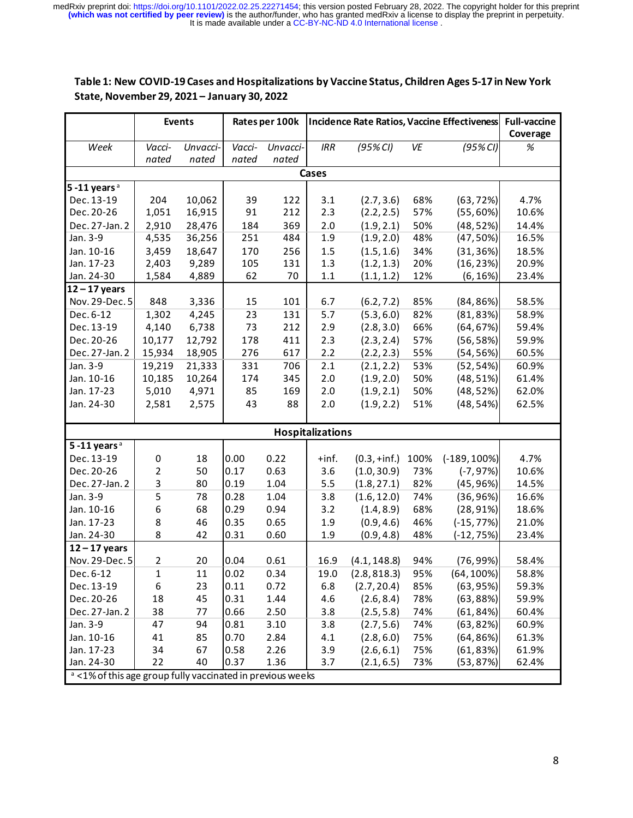It is made available under a [CC-BY-NC-ND 4.0 International license](http://creativecommons.org/licenses/by-nc-nd/4.0/) . medRxiv preprint doi: [https://doi.org/10.1101/2022.02.25.22271454;](https://doi.org/10.1101/2022.02.25.22271454) this version posted February 28, 2022. The copyright holder for this preprint<br>(which was not certified by peer review) is the author/funder, who has grante

# **Table 1: New COVID-19 Cases and Hospitalizations by Vaccine Status, Children Ages 5-17 in New York State, November 29, 2021 – January 30, 2022**

|                                                                       | <b>Events</b>           |          | Rates per 100k |          | Incidence Rate Ratios, Vaccine Effectiveness |                      |      |                      | <b>Full-vaccine</b> |
|-----------------------------------------------------------------------|-------------------------|----------|----------------|----------|----------------------------------------------|----------------------|------|----------------------|---------------------|
|                                                                       |                         |          |                |          |                                              |                      |      |                      | Coverage            |
| Week                                                                  | Vacci-                  | Unvacci- | Vacci-         | Unvacci- | IRR                                          | (95% <sub>C1</sub> ) | VE   | (95% <sub>CI</sub> ) | $\%$                |
|                                                                       | nated                   | nated    | nated          | nated    |                                              |                      |      |                      |                     |
| Cases                                                                 |                         |          |                |          |                                              |                      |      |                      |                     |
| $5-11$ years <sup>a</sup>                                             |                         |          |                |          |                                              |                      |      |                      |                     |
| Dec. 13-19                                                            | 204                     | 10,062   | 39             | 122      | 3.1                                          | (2.7, 3.6)           | 68%  | (63, 72%)            | 4.7%                |
| Dec. 20-26                                                            | 1,051                   | 16,915   | 91             | 212      | 2.3                                          | (2.2, 2.5)           | 57%  | (55, 60%)            | 10.6%               |
| Dec. 27-Jan. 2                                                        | 2,910                   | 28,476   | 184            | 369      | 2.0                                          | (1.9, 2.1)           | 50%  | (48, 52%)            | 14.4%               |
| Jan. 3-9                                                              | 4,535                   | 36,256   | 251            | 484      | 1.9                                          | (1.9, 2.0)           | 48%  | $(47, 50\%)$         | 16.5%               |
| Jan. 10-16                                                            | 3,459                   | 18,647   | 170            | 256      | 1.5                                          | (1.5, 1.6)           | 34%  | (31, 36%)            | 18.5%               |
| Jan. 17-23                                                            | 2,403                   | 9,289    | 105            | 131      | 1.3                                          | (1.2, 1.3)           | 20%  | (16, 23%)            | 20.9%               |
| Jan. 24-30                                                            | 1,584                   | 4,889    | 62             | 70       | $1.1\,$                                      | (1.1, 1.2)           | 12%  | (6, 16%)             | 23.4%               |
| $12 - 17$ years                                                       |                         |          |                |          |                                              |                      |      |                      |                     |
| Nov. 29-Dec. 5                                                        | 848                     | 3,336    | 15             | 101      | 6.7                                          | (6.2, 7.2)           | 85%  | (84, 86%)            | 58.5%               |
| Dec. 6-12                                                             | 1,302                   | 4,245    | 23             | 131      | 5.7                                          | (5.3, 6.0)           | 82%  | (81, 83%)            | 58.9%               |
| Dec. 13-19                                                            | 4,140                   | 6,738    | 73             | 212      | 2.9                                          | (2.8, 3.0)           | 66%  | (64, 67%)            | 59.4%               |
| Dec. 20-26                                                            | 10,177                  | 12,792   | 178            | 411      | 2.3                                          | (2.3, 2.4)           | 57%  | (56, 58%)            | 59.9%               |
| Dec. 27-Jan. 2                                                        | 15,934                  | 18,905   | 276            | 617      | 2.2                                          | (2.2, 2.3)           | 55%  | (54, 56%)            | 60.5%               |
| Jan. 3-9                                                              | 19,219                  | 21,333   | 331            | 706      | 2.1                                          | (2.1, 2.2)           | 53%  | (52, 54%)            | 60.9%               |
| Jan. 10-16                                                            | 10,185                  | 10,264   | 174            | 345      | 2.0                                          | (1.9, 2.0)           | 50%  | (48, 51%)            | 61.4%               |
| Jan. 17-23                                                            | 5,010                   | 4,971    | 85             | 169      | 2.0                                          | (1.9, 2.1)           | 50%  | (48, 52%)            | 62.0%               |
| Jan. 24-30                                                            | 2,581                   | 2,575    | 43             | 88       | 2.0                                          | (1.9, 2.2)           | 51%  | (48, 54%)            | 62.5%               |
|                                                                       |                         |          |                |          |                                              |                      |      |                      |                     |
| <b>Hospitalizations</b>                                               |                         |          |                |          |                                              |                      |      |                      |                     |
| $5 - 11$ years <sup>a</sup>                                           |                         |          |                |          |                                              |                      |      |                      |                     |
| Dec. 13-19                                                            | 0                       | 18       | 0.00           | 0.22     | $+$ inf.                                     | $(0.3, +inf.)$       | 100% | $(-189, 100\%)$      | 4.7%                |
| Dec. 20-26                                                            | $\overline{\mathbf{c}}$ | 50       | 0.17           | 0.63     | 3.6                                          | (1.0, 30.9)          | 73%  | $(-7, 97%)$          | 10.6%               |
| Dec. 27-Jan. 2                                                        | 3                       | 80       | 0.19           | 1.04     | 5.5                                          | (1.8, 27.1)          | 82%  | (45, 96%)            | 14.5%               |
| Jan. 3-9                                                              | 5                       | 78       | 0.28           | 1.04     | 3.8                                          | (1.6, 12.0)          | 74%  | (36, 96%)            | 16.6%               |
| Jan. 10-16                                                            | 6                       | 68       | 0.29           | 0.94     | 3.2                                          | (1.4, 8.9)           | 68%  | (28, 91%)            | 18.6%               |
| Jan. 17-23                                                            | 8                       | 46       | 0.35           | 0.65     | 1.9                                          | (0.9, 4.6)           | 46%  | $(-15, 77%)$         | 21.0%               |
| Jan. 24-30                                                            | 8                       | 42       | 0.31           | 0.60     | 1.9                                          | (0.9, 4.8)           | 48%  | $(-12, 75%)$         | 23.4%               |
| $12 - 17$ years                                                       |                         |          |                |          |                                              |                      |      |                      |                     |
| Nov. 29-Dec. 5                                                        | $\overline{2}$          | 20       | 0.04           | 0.61     | 16.9                                         | (4.1, 148.8)         | 94%  | (76, 99%)            | 58.4%               |
| Dec. 6-12                                                             | 1                       | $11\,$   | 0.02           | 0.34     | 19.0                                         | (2.8, 818.3)         | 95%  | $(64, 100\%)$        | 58.8%               |
| Dec. 13-19                                                            | 6                       | 23       | 0.11           | 0.72     | 6.8                                          | (2.7, 20.4)          | 85%  | (63, 95%)            | 59.3%               |
| Dec. 20-26                                                            | 18                      | 45       | 0.31           | 1.44     | 4.6                                          | (2.6, 8.4)           | 78%  | (63, 88%)            | 59.9%               |
| Dec. 27-Jan. 2                                                        | 38                      | 77       | 0.66           | 2.50     | 3.8                                          | (2.5, 5.8)           | 74%  | (61, 84%)            | 60.4%               |
| Jan. 3-9                                                              | 47                      | 94       | 0.81           | 3.10     | 3.8                                          | (2.7, 5.6)           | 74%  | (63, 82%)            | 60.9%               |
| Jan. 10-16                                                            | 41                      | 85       | 0.70           | 2.84     | 4.1                                          | (2.8, 6.0)           | 75%  | (64, 86%)            | 61.3%               |
| Jan. 17-23                                                            | 34                      | 67       | 0.58           | 2.26     | 3.9                                          | (2.6, 6.1)           | 75%  | (61, 83%)            | 61.9%               |
| Jan. 24-30                                                            | 22                      | 40       | 0.37           | 1.36     | 3.7                                          | (2.1, 6.5)           | 73%  | (53, 87%)            | 62.4%               |
| <sup>a</sup> <1% of this age group fully vaccinated in previous weeks |                         |          |                |          |                                              |                      |      |                      |                     |